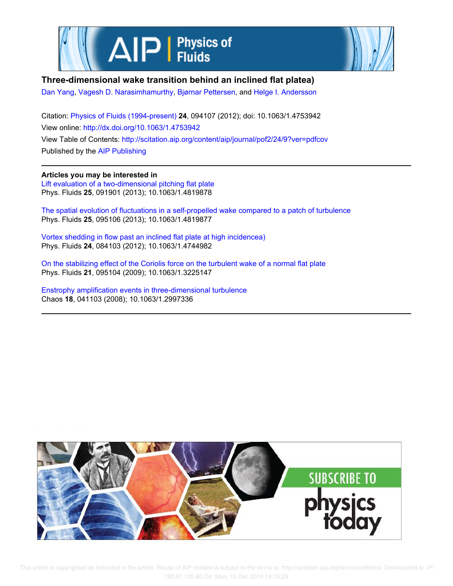



## **Three-dimensional wake transition behind an inclined flat platea)**

Dan Yang, Vagesh D. Narasimhamurthy, Bjørnar Pettersen, and Helge I. Andersson

Citation: Physics of Fluids (1994-present) **24**, 094107 (2012); doi: 10.1063/1.4753942 View online: http://dx.doi.org/10.1063/1.4753942 View Table of Contents: http://scitation.aip.org/content/aip/journal/pof2/24/9?ver=pdfcov Published by the AIP Publishing

**Articles you may be interested in** Lift evaluation of a two-dimensional pitching flat plate Phys. Fluids **25**, 091901 (2013); 10.1063/1.4819878

The spatial evolution of fluctuations in a self-propelled wake compared to a patch of turbulence Phys. Fluids **25**, 095106 (2013); 10.1063/1.4819877

Vortex shedding in flow past an inclined flat plate at high incidencea) Phys. Fluids **24**, 084103 (2012); 10.1063/1.4744982

On the stabilizing effect of the Coriolis force on the turbulent wake of a normal flat plate Phys. Fluids **21**, 095104 (2009); 10.1063/1.3225147

Enstrophy amplification events in three-dimensional turbulence Chaos **18**, 041103 (2008); 10.1063/1.2997336

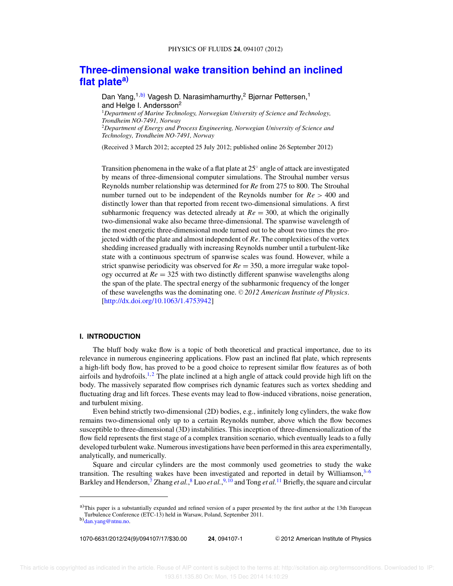# **Three-dimensional wake transition behind an inclined flat platea)**

Dan Yang,<sup>1,b)</sup> Vagesh D. Narasimhamurthy,<sup>2</sup> Bjørnar Pettersen,<sup>1</sup> and Helge I. Andersson<sup>2</sup> <sup>1</sup>*Department of Marine Technology, Norwegian University of Science and Technology, Trondheim NO-7491, Norway* <sup>2</sup>*Department of Energy and Process Engineering, Norwegian University of Science and Technology, Trondheim NO-7491, Norway*

(Received 3 March 2012; accepted 25 July 2012; published online 26 September 2012)

Transition phenomena in the wake of a flat plate at  $25^{\circ}$  angle of attack are investigated by means of three-dimensional computer simulations. The Strouhal number versus Reynolds number relationship was determined for *Re* from 275 to 800. The Strouhal number turned out to be independent of the Reynolds number for *Re* > 400 and distinctly lower than that reported from recent two-dimensional simulations. A first subharmonic frequency was detected already at  $Re = 300$ , at which the originally two-dimensional wake also became three-dimensional. The spanwise wavelength of the most energetic three-dimensional mode turned out to be about two times the projected width of the plate and almost independent of *Re*. The complexities of the vortex shedding increased gradually with increasing Reynolds number until a turbulent-like state with a continuous spectrum of spanwise scales was found. However, while a strict spanwise periodicity was observed for *Re* = 350, a more irregular wake topology occurred at  $Re = 325$  with two distinctly different spanwise wavelengths along the span of the plate. The spectral energy of the subharmonic frequency of the longer of these wavelengths was the dominating one. © 2012 American Institute of Physics. [http://dx.doi.org/10.1063/1.4753942]

### **I. INTRODUCTION**

The bluff body wake flow is a topic of both theoretical and practical importance, due to its relevance in numerous engineering applications. Flow past an inclined flat plate, which represents a high-lift body flow, has proved to be a good choice to represent similar flow features as of both airfoils and hydrofoils.<sup>1,2</sup> The plate inclined at a high angle of attack could provide high lift on the body. The massively separated flow comprises rich dynamic features such as vortex shedding and fluctuating drag and lift forces. These events may lead to flow-induced vibrations, noise generation, and turbulent mixing.

Even behind strictly two-dimensional (2D) bodies, e.g., infinitely long cylinders, the wake flow remains two-dimensional only up to a certain Reynolds number, above which the flow becomes susceptible to three-dimensional (3D) instabilities. This inception of three-dimensionalization of the flow field represents the first stage of a complex transition scenario, which eventually leads to a fully developed turbulent wake. Numerous investigations have been performed in this area experimentally, analytically, and numerically.

Square and circular cylinders are the most commonly used geometries to study the wake transition. The resulting wakes have been investigated and reported in detail by Williamson, $3-6$ Barkley and Henderson,<sup>7</sup> Zhang *et al.*,<sup>8</sup> Luo *et al.*,<sup>9,10</sup> and Tong *et al.*<sup>11</sup> Briefly, the square and circular

1070-6631/2012/24(9)/094107/17/\$30.00 **24**, 094107-1 -

<sup>C</sup> 2012 American Institute of Physics

 $a$ )This paper is a substantially expanded and refined version of a paper presented by the first author at the 13th European Turbulence Conference (ETC-13) held in Warsaw, Poland, September 2011.

b)dan.yang@ntnu.no.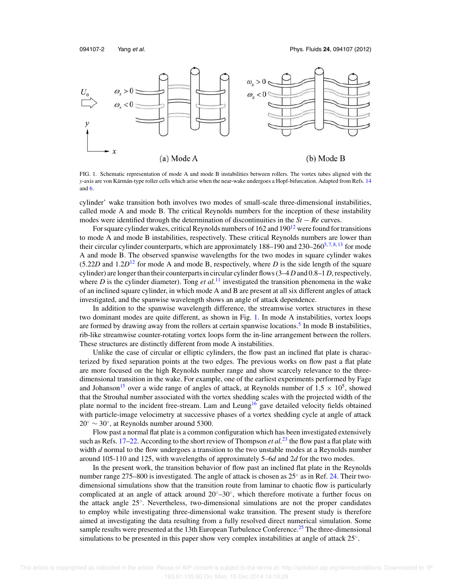094107-2 Yang et al. Phys. Fluids **24**, 094107 (2012)



FIG. 1. Schematic representation of mode A and mode B instabilities between rollers. The vortex tubes aligned with the *y*-axis are von Kármán-type roller cells which arise when the near-wake undergoes a Hopf-bifurcation. Adapted from Refs. 14 and 6.

cylinder' wake transition both involves two modes of small-scale three-dimensional instabilities, called mode A and mode B. The critical Reynolds numbers for the inception of these instability modes were identified through the determination of discontinuities in the *St* − *Re* curves.

For square cylinder wakes, critical Reynolds numbers of  $162$  and  $190<sup>12</sup>$  were found for transitions to mode A and mode B instabilities, respectively. These critical Reynolds numbers are lower than their circular cylinder counterparts, which are approximately 188–190 and 230–260<sup>5,7,8,13</sup> for mode A and mode B. The observed spanwise wavelengths for the two modes in square cylinder wakes  $(5.22D \text{ and } 1.2D^{12} \text{ for mode A and mode B, respectively, where D is the side length of the square$ cylinder) are longer than their counterparts in circular cylinder flows (3–4 *D* and 0.8–1 *D*, respectively, where *D* is the cylinder diameter). Tong *et al.*<sup>11</sup> investigated the transition phenomena in the wake of an inclined square cylinder, in which mode A and B are present at all six different angles of attack investigated, and the spanwise wavelength shows an angle of attack dependence.

In addition to the spanwise wavelength difference, the streamwise vortex structures in these two dominant modes are quite different, as shown in Fig. 1. In mode A instabilities, vortex loops are formed by drawing away from the rollers at certain spanwise locations.<sup>5</sup> In mode B instabilities, rib-like streamwise counter-rotating vortex loops form the in-line arrangement between the rollers. These structures are distinctly different from mode A instabilities.

Unlike the case of circular or elliptic cylinders, the flow past an inclined flat plate is characterized by fixed separation points at the two edges. The previous works on flow past a flat plate are more focused on the high Reynolds number range and show scarcely relevance to the threedimensional transition in the wake. For example, one of the earliest experiments performed by Fage and Johanson<sup>15</sup> over a wide range of angles of attack, at Reynolds number of  $1.5 \times 10^5$ , showed that the Strouhal number associated with the vortex shedding scales with the projected width of the plate normal to the incident free-stream. Lam and Leung<sup>16</sup> gave detailed velocity fields obtained with particle-image velocimetry at successive phases of a vortex shedding cycle at angle of attack  $20^\circ \sim 30^\circ$ , at Reynolds number around 5300.

Flow past a normal flat plate is a common configuration which has been investigated extensively such as Refs.  $17-22$ . According to the short review of Thompson *et al.*<sup>23</sup> the flow past a flat plate with width *d* normal to the flow undergoes a transition to the two unstable modes at a Reynolds number around 105-110 and 125, with wavelengths of approximately 5–6*d* and 2*d* for the two modes.

In the present work, the transition behavior of flow past an inclined flat plate in the Reynolds number range 275–800 is investigated. The angle of attack is chosen as 25° as in Ref. 24. Their twodimensional simulations show that the transition route from laminar to chaotic flow is particularly complicated at an angle of attack around  $20^{\circ}-30^{\circ}$ , which therefore motivate a further focus on the attack angle 25◦ . Nevertheless, two-dimensional simulations are not the proper candidates to employ while investigating three-dimensional wake transition. The present study is therefore aimed at investigating the data resulting from a fully resolved direct numerical simulation. Some sample results were presented at the 13th European Turbulence Conference.<sup>25</sup> The three-dimensional simulations to be presented in this paper show very complex instabilities at angle of attack  $25°$ .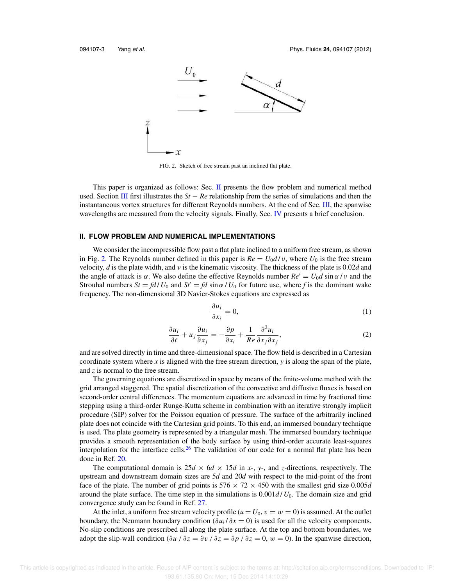

FIG. 2. Sketch of free stream past an inclined flat plate.

This paper is organized as follows: Sec. II presents the flow problem and numerical method used. Section III first illustrates the *St* − *Re* relationship from the series of simulations and then the instantaneous vortex structures for different Reynolds numbers. At the end of Sec. III, the spanwise wavelengths are measured from the velocity signals. Finally, Sec. IV presents a brief conclusion.

#### **II. FLOW PROBLEM AND NUMERICAL IMPLEMENTATIONS**

We consider the incompressible flow past a flat plate inclined to a uniform free stream, as shown in Fig. 2. The Reynolds number defined in this paper is  $Re = U_0 d/v$ , where  $U_0$  is the free stream velocity, *d* is the plate width, and ν is the kinematic viscosity. The thickness of the plate is 0.02*d* and the angle of attack is  $\alpha$ . We also define the effective Reynolds number  $Re' = U_0 d \sin \alpha / \nu$  and the Strouhal numbers  $St = fd / U_0$  and  $St' = fd \sin \alpha / U_0$  for future use, where f is the dominant wake frequency. The non-dimensional 3D Navier-Stokes equations are expressed as

$$
\frac{\partial u_i}{\partial x_i} = 0,\t\t(1)
$$

$$
\frac{\partial u_i}{\partial t} + u_j \frac{\partial u_i}{\partial x_j} = -\frac{\partial p}{\partial x_i} + \frac{1}{Re} \frac{\partial^2 u_i}{\partial x_j \partial x_j},\tag{2}
$$

and are solved directly in time and three-dimensional space. The flow field is described in a Cartesian coordinate system where *x* is aligned with the free stream direction, *y* is along the span of the plate, and *z* is normal to the free stream.

The governing equations are discretized in space by means of the finite-volume method with the grid arranged staggered. The spatial discretization of the convective and diffusive fluxes is based on second-order central differences. The momentum equations are advanced in time by fractional time stepping using a third-order Runge-Kutta scheme in combination with an iterative strongly implicit procedure (SIP) solver for the Poisson equation of pressure. The surface of the arbitrarily inclined plate does not coincide with the Cartesian grid points. To this end, an immersed boundary technique is used. The plate geometry is represented by a triangular mesh. The immersed boundary technique provides a smooth representation of the body surface by using third-order accurate least-squares interpolation for the interface cells.<sup>26</sup> The validation of our code for a normal flat plate has been done in Ref. 20.

The computational domain is  $25d \times 6d \times 15d$  in *x*-, *y*-, and *z*-directions, respectively. The upstream and downstream domain sizes are 5*d* and 20*d* with respect to the mid-point of the front face of the plate. The number of grid points is  $576 \times 72 \times 450$  with the smallest grid size 0.005*d* around the plate surface. The time step in the simulations is  $0.001d / U_0$ . The domain size and grid convergence study can be found in Ref. 27.

At the inlet, a uniform free stream velocity profile ( $u = U_0$ ,  $v = w = 0$ ) is assumed. At the outlet boundary, the Neumann boundary condition  $(\partial u_i / \partial x = 0)$  is used for all the velocity components. No-slip conditions are prescribed all along the plate surface. At the top and bottom boundaries, we adopt the slip-wall condition ( $\partial u / \partial z = \partial v / \partial z = \partial p / \partial z = 0$ ,  $w = 0$ ). In the spanwise direction,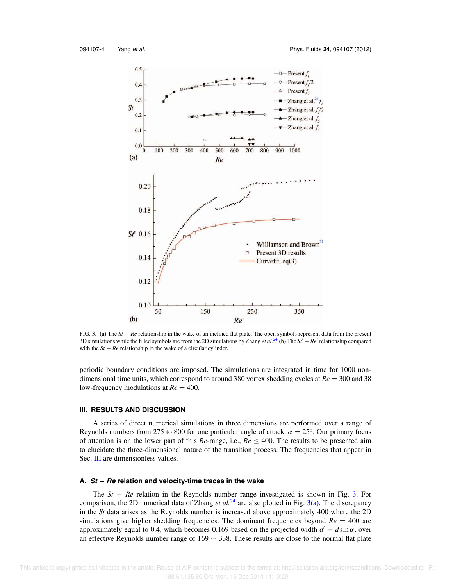

FIG. 3. (a) The *St* − *Re* relationship in the wake of an inclined flat plate. The open symbols represent data from the present 3D simulations while the filled symbols are from the 2D simulations by Zhang *et al.*<sup>24</sup> (b) The *St*′ <sup>−</sup> *Re*′ relationship compared with the  $St - Re$  relationship in the wake of a circular cylinder.

periodic boundary conditions are imposed. The simulations are integrated in time for 1000 nondimensional time units, which correspond to around 380 vortex shedding cycles at *Re* = 300 and 38 low-frequency modulations at  $Re = 400$ .

#### **III. RESULTS AND DISCUSSION**

A series of direct numerical simulations in three dimensions are performed over a range of Reynolds numbers from 275 to 800 for one particular angle of attack,  $\alpha = 25^\circ$ . Our primary focus of attention is on the lower part of this *Re*-range, i.e., *Re* ≤ 400. The results to be presented aim to elucidate the three-dimensional nature of the transition process. The frequencies that appear in Sec. III are dimensionless values.

## **A. St** − **Re relation and velocity-time traces in the wake**

The *St* − *Re* relation in the Reynolds number range investigated is shown in Fig. 3. For comparison, the 2D numerical data of Zhang *et al.*<sup>24</sup> are also plotted in Fig. 3(a). The discrepancy in the *St* data arises as the Reynolds number is increased above approximately 400 where the 2D simulations give higher shedding frequencies. The dominant frequencies beyond  $Re = 400$  are approximately equal to 0.4, which becomes 0.169 based on the projected width  $d' = d \sin \alpha$ , over an effective Reynolds number range of  $169 \sim 338$ . These results are close to the normal flat plate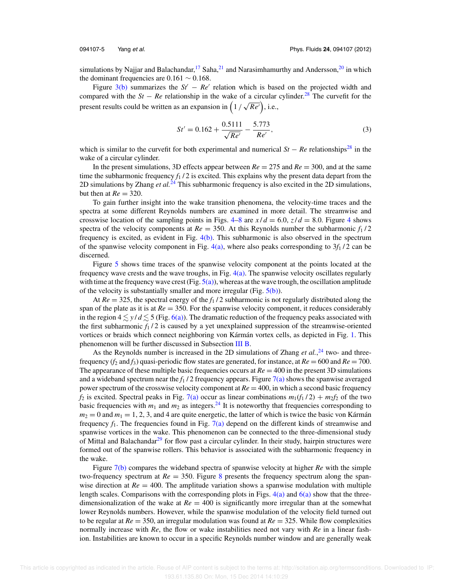simulations by Najjar and Balachandar,<sup>17</sup> Saha,<sup>21</sup> and Narasimhamurthy and Andersson,<sup>20</sup> in which the dominant frequencies are  $0.161 \sim 0.168$ .

Figure  $3(b)$  summarizes the  $St' - Re'$  relation which is based on the projected width and compared with the  $St - Re$  relationship in the wake of a circular cylinder.<sup>28</sup> The curve fit for the present results could be written as an expansion in  $(1/\sqrt{Re'})$ , i.e.,

$$
St' = 0.162 + \frac{0.5111}{\sqrt{Re'}} - \frac{5.773}{Re'},
$$
\n(3)

which is similar to the curvefit for both experimental and numerical  $St - Re$  relationships<sup>28</sup> in the wake of a circular cylinder.

In the present simulations, 3D effects appear between  $Re = 275$  and  $Re = 300$ , and at the same time the subharmonic frequency  $f_1 / 2$  is excited. This explains why the present data depart from the 2D simulations by Zhang *et al.*<sup>24</sup> This subharmonic frequency is also excited in the 2D simulations, but then at  $Re = 320$ .

To gain further insight into the wake transition phenomena, the velocity-time traces and the spectra at some different Reynolds numbers are examined in more detail. The streamwise and crosswise location of the sampling points in Figs.  $4-8$  are  $x/d = 6.0$ ,  $z/d = 8.0$ . Figure 4 shows spectra of the velocity components at  $Re = 350$ . At this Reynolds number the subharmonic  $f_1/2$ frequency is excited, as evident in Fig. 4(b). This subharmonic is also observed in the spectrum of the spanwise velocity component in Fig.  $4(a)$ , where also peaks corresponding to  $3f<sub>1</sub>/2$  can be discerned.

Figure 5 shows time traces of the spanwise velocity component at the points located at the frequency wave crests and the wave troughs, in Fig. 4(a). The spanwise velocity oscillates regularly with time at the frequency wave crest (Fig.  $5(a)$ ), whereas at the wave trough, the oscillation amplitude of the velocity is substantially smaller and more irregular (Fig.  $5(b)$ ).

At  $Re = 325$ , the spectral energy of the  $f_1/2$  subharmonic is not regularly distributed along the span of the plate as it is at  $Re = 350$ . For the spanwise velocity component, it reduces considerably in the region  $4 \lesssim y/d \lesssim 5$  (Fig. 6(a)). The dramatic reduction of the frequency peaks associated with the first subharmonic  $f_1/2$  is caused by a yet unexplained suppression of the streamwise-oriented vortices or braids which connect neighboring von Kármán vortex cells, as depicted in Fig. 1. This phenomenon will be further discussed in Subsection III B.

As the Reynolds number is increased in the 2D simulations of Zhang *et al.*,<sup>24</sup> two- and threefrequency (*f*<sup>2</sup> and *f*3) quasi-periodic flow states are generated, for instance, at *Re* = 600 and *Re* = 700. The appearance of these multiple basic frequencies occurs at  $Re = 400$  in the present 3D simulations and a wideband spectrum near the  $f_1$  / 2 frequency appears. Figure 7(a) shows the spanwise averaged power spectrum of the crosswise velocity component at *Re* = 400, in which a second basic frequency  $f_2$  is excited. Spectral peaks in Fig. 7(a) occur as linear combinations  $m_1(f_1/2) + m_2f_2$  of the two basic frequencies with  $m_1$  and  $m_2$  as integers.<sup>24</sup> It is noteworthy that frequencies corresponding to  $m_2 = 0$  and  $m_1 = 1, 2, 3$ , and 4 are quite energetic, the latter of which is twice the basic von Kármán frequency  $f_1$ . The frequencies found in Fig. 7(a) depend on the different kinds of streamwise and spanwise vortices in the wake. This phenomenon can be connected to the three-dimensional study of Mittal and Balachandar<sup>29</sup> for flow past a circular cylinder. In their study, hairpin structures were formed out of the spanwise rollers. This behavior is associated with the subharmonic frequency in the wake.

Figure 7(b) compares the wideband spectra of spanwise velocity at higher *Re* with the simple two-frequency spectrum at  $Re = 350$ . Figure 8 presents the frequency spectrum along the spanwise direction at  $Re = 400$ . The amplitude variation shows a spanwise modulation with multiple length scales. Comparisons with the corresponding plots in Figs.  $4(a)$  and  $6(a)$  show that the threedimensionalization of the wake at  $Re = 400$  is significantly more irregular than at the somewhat lower Reynolds numbers. However, while the spanwise modulation of the velocity field turned out to be regular at  $Re = 350$ , an irregular modulation was found at  $Re = 325$ . While flow complexities normally increase with *Re*, the flow or wake instabilities need not vary with *Re* in a linear fashion. Instabilities are known to occur in a specific Reynolds number window and are generally weak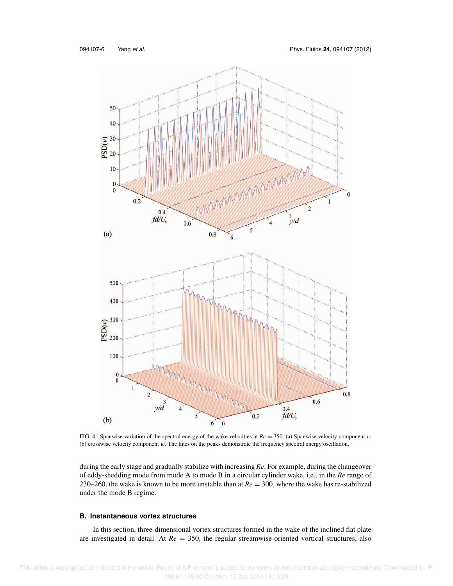

FIG. 4. Spanwise variation of the spectral energy of the wake velocities at  $Re = 350$ . (a) Spanwise velocity component v; (b) crosswise velocity component w. The lines on the peaks demonstrate the frequency spectral energy oscillation.

during the early stage and gradually stabilize with increasing *Re*. For example, during the changeover of eddy-shedding mode from mode A to mode B in a circular cylinder wake, i.e., in the *Re* range of 230–260, the wake is known to be more unstable than at  $Re = 300$ , where the wake has re-stabilized under the mode B regime.

## **B. Instantaneous vortex structures**

In this section, three-dimensional vortex structures formed in the wake of the inclined flat plate are investigated in detail. At *Re* = 350, the regular streamwise-oriented vortical structures, also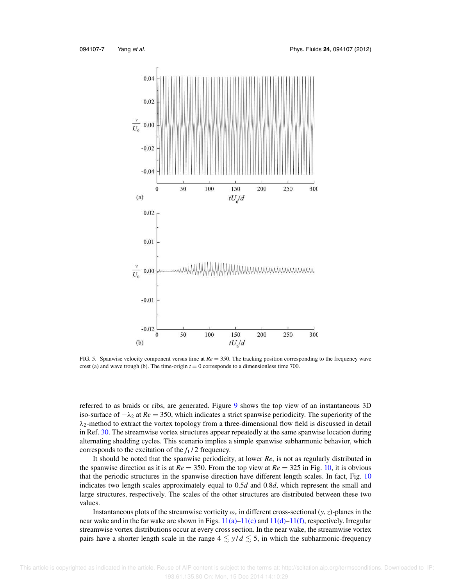

FIG. 5. Spanwise velocity component versus time at *Re* = 350. The tracking position corresponding to the frequency wave crest (a) and wave trough (b). The time-origin  $t = 0$  corresponds to a dimensionless time 700.

referred to as braids or ribs, are generated. Figure 9 shows the top view of an instantaneous 3D iso-surface of  $-\lambda_2$  at  $Re = 350$ , which indicates a strict spanwise periodicity. The superiority of the  $\lambda_2$ -method to extract the vortex topology from a three-dimensional flow field is discussed in detail in Ref. 30. The streamwise vortex structures appear repeatedly at the same spanwise location during alternating shedding cycles. This scenario implies a simple spanwise subharmonic behavior, which corresponds to the excitation of the *f*<sup>1</sup> / 2 frequency.

It should be noted that the spanwise periodicity, at lower *Re*, is not as regularly distributed in the spanwise direction as it is at  $Re = 350$ . From the top view at  $Re = 325$  in Fig. 10, it is obvious that the periodic structures in the spanwise direction have different length scales. In fact, Fig. 10 indicates two length scales approximately equal to 0.5*d* and 0.8*d*, which represent the small and large structures, respectively. The scales of the other structures are distributed between these two values.

Instantaneous plots of the streamwise vorticity  $\omega_x$  in different cross-sectional  $(y, z)$ -planes in the near wake and in the far wake are shown in Figs.  $11(a)$ – $11(c)$  and  $11(d)$ – $11(f)$ , respectively. Irregular streamwise vortex distributions occur at every cross section. In the near wake, the streamwise vortex pairs have a shorter length scale in the range  $4 \lesssim y/d \lesssim 5$ , in which the subharmonic-frequency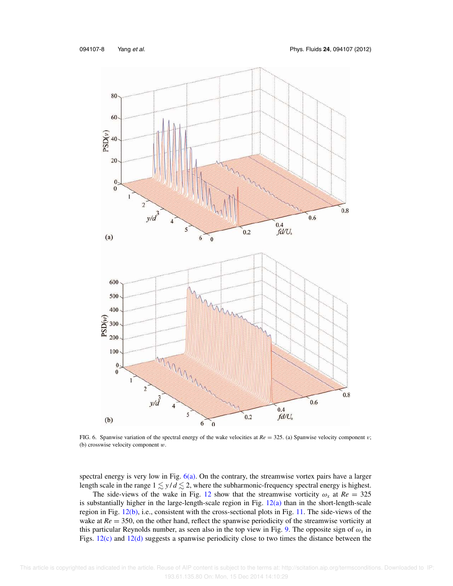

FIG. 6. Spanwise variation of the spectral energy of the wake velocities at  $Re = 325$ . (a) Spanwise velocity component v; (b) crosswise velocity component w.

spectral energy is very low in Fig.  $6(a)$ . On the contrary, the streamwise vortex pairs have a larger length scale in the range  $1 \leq y/d \leq 2$ , where the subharmonic-frequency spectral energy is highest.

The side-views of the wake in Fig. 12 show that the streamwise vorticity  $\omega_x$  at  $Re = 325$ is substantially higher in the large-length-scale region in Fig. 12(a) than in the short-length-scale region in Fig. 12(b), i.e., consistent with the cross-sectional plots in Fig. 11. The side-views of the wake at *Re* = 350, on the other hand, reflect the spanwise periodicity of the streamwise vorticity at this particular Reynolds number, as seen also in the top view in Fig. 9. The opposite sign of  $\omega_x$  in Figs. 12(c) and 12(d) suggests a spanwise periodicity close to two times the distance between the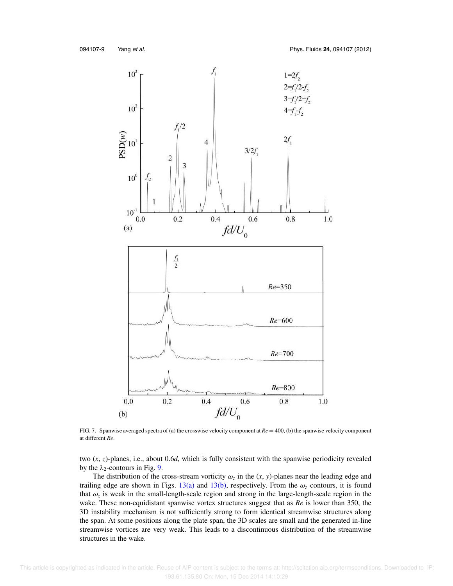

FIG. 7. Spanwise averaged spectra of (a) the crosswise velocity component at *Re* = 400, (b) the spanwise velocity component at different *Re*.

two (*x*, *z*)-planes, i.e., about 0.6*d*, which is fully consistent with the spanwise periodicity revealed by the  $\lambda_2$ -contours in Fig. 9.

The distribution of the cross-stream vorticity  $\omega_z$  in the  $(x, y)$ -planes near the leading edge and trailing edge are shown in Figs. 13(a) and 13(b), respectively. From the  $\omega_z$  contours, it is found that  $\omega_z$  is weak in the small-length-scale region and strong in the large-length-scale region in the wake. These non-equidistant spanwise vortex structures suggest that as *Re* is lower than 350, the 3D instability mechanism is not sufficiently strong to form identical streamwise structures along the span. At some positions along the plate span, the 3D scales are small and the generated in-line streamwise vortices are very weak. This leads to a discontinuous distribution of the streamwise structures in the wake.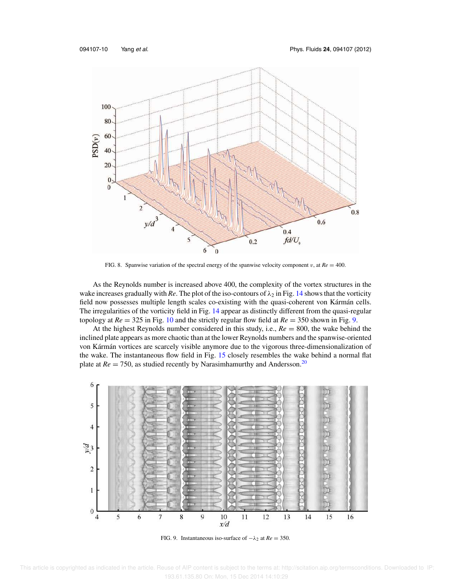

FIG. 8. Spanwise variation of the spectral energy of the spanwise velocity component v, at  $Re = 400$ .

As the Reynolds number is increased above 400, the complexity of the vortex structures in the wake increases gradually with *Re*. The plot of the iso-contours of  $\lambda_2$  in Fig. 14 shows that the vorticity field now possesses multiple length scales co-existing with the quasi-coherent von Kármán cells. The irregularities of the vorticity field in Fig. 14 appear as distinctly different from the quasi-regular topology at *Re* = 325 in Fig. 10 and the strictly regular flow field at *Re* = 350 shown in Fig. 9.

At the highest Reynolds number considered in this study, i.e., *Re* = 800, the wake behind the inclined plate appears as more chaotic than at the lower Reynolds numbers and the spanwise-oriented von Kármán vortices are scarcely visible anymore due to the vigorous three-dimensionalization of the wake. The instantaneous flow field in Fig. 15 closely resembles the wake behind a normal flat plate at  $Re = 750$ , as studied recently by Narasimhamurthy and Andersson.<sup>20</sup>



FIG. 9. Instantaneous iso-surface of  $-\lambda_2$  at  $Re = 350$ .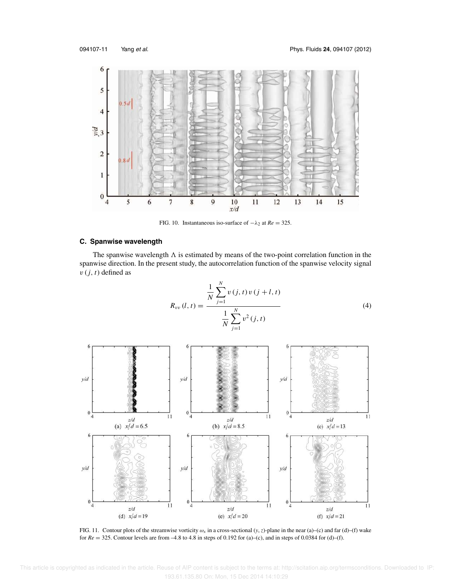

FIG. 10. Instantaneous iso-surface of  $-\lambda_2$  at  $Re = 325$ .

## **C. Spanwise wavelength**

The spanwise wavelength  $\Lambda$  is estimated by means of the two-point correlation function in the spanwise direction. In the present study, the autocorrelation function of the spanwise velocity signal  $v(j, t)$  defined as

$$
R_{vv}(l,t) = \frac{\frac{1}{N} \sum_{j=1}^{N} v(j,t) v(j+l,t)}{\frac{1}{N} \sum_{j=1}^{N} v^{2}(j,t)}
$$
(4)



FIG. 11. Contour plots of the streamwise vorticity  $\omega_x$  in a cross-sectional  $(y, z)$ -plane in the near (a)–(c) and far (d)–(f) wake for  $Re = 325$ . Contour levels are from -4.8 to 4.8 in steps of 0.192 for (a)–(c), and in steps of 0.0384 for (d)–(f).

 This article is copyrighted as indicated in the article. Reuse of AIP content is subject to the terms at: http://scitation.aip.org/termsconditions. Downloaded to IP: 193.61.135.80 On: Mon, 15 Dec 2014 14:10:29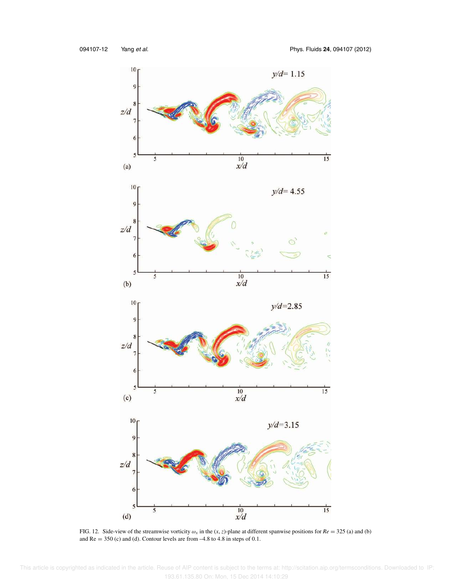

FIG. 12. Side-view of the streamwise vorticity  $\omega_x$  in the  $(x, z)$ -plane at different spanwise positions for  $Re = 325$  (a) and (b) and  $Re = 350$  (c) and (d). Contour levels are from  $-4.8$  to 4.8 in steps of 0.1.

 This article is copyrighted as indicated in the article. Reuse of AIP content is subject to the terms at: http://scitation.aip.org/termsconditions. Downloaded to IP: 193.61.135.80 On: Mon, 15 Dec 2014 14:10:29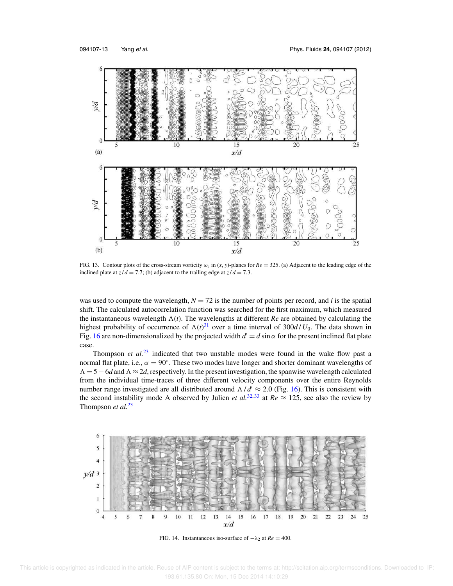

FIG. 13. Contour plots of the cross-stream vorticity  $\omega_z$  in  $(x, y)$ -planes for  $Re = 325$ . (a) Adjacent to the leading edge of the inclined plate at  $z/d = 7.7$ ; (b) adjacent to the trailing edge at  $z/d = 7.3$ .

was used to compute the wavelength,  $N = 72$  is the number of points per record, and *l* is the spatial shift. The calculated autocorrelation function was searched for the first maximum, which measured the instantaneous wavelength  $\Lambda(t)$ . The wavelengths at different *Re* are obtained by calculating the highest probability of occurrence of  $\Lambda(t)^{31}$  over a time interval of 300*d* / *U*<sub>0</sub>. The data shown in Fig. 16 are non-dimensionalized by the projected width  $d' = d \sin \alpha$  for the present inclined flat plate case.

Thompson *et al.*<sup>23</sup> indicated that two unstable modes were found in the wake flow past a normal flat plate, i.e.,  $\alpha = 90^\circ$ . These two modes have longer and shorter dominant wavelengths of  $\Lambda = 5 - 6d$  and  $\Lambda \approx 2d$ , respectively. In the present investigation, the spanwise wavelength calculated from the individual time-traces of three different velocity components over the entire Reynolds number range investigated are all distributed around  $\Lambda/d' \approx 2.0$  (Fig. 16). This is consistent with the second instability mode A observed by Julien *et al.*<sup>32,33</sup> at  $Re \approx 125$ , see also the review by Thompson *et al.*<sup>23</sup>



FIG. 14. Instantaneous iso-surface of  $-\lambda_2$  at  $Re = 400$ .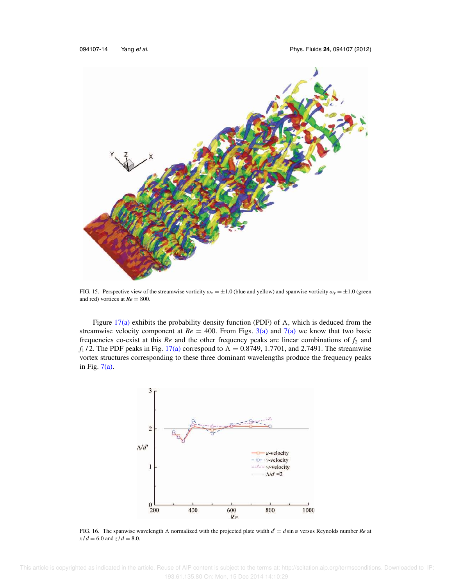

FIG. 15. Perspective view of the streamwise vorticity  $\omega_x = \pm 1.0$  (blue and yellow) and spanwise vorticity  $\omega_y = \pm 1.0$  (green and red) vortices at  $Re = 800$ .

Figure 17(a) exhibits the probability density function (PDF) of  $\Lambda$ , which is deduced from the streamwise velocity component at  $Re = 400$ . From Figs. 3(a) and 7(a) we know that two basic frequencies co-exist at this  $Re$  and the other frequency peaks are linear combinations of  $f_2$  and  $f_1$ /2. The PDF peaks in Fig. 17(a) correspond to  $\Lambda = 0.8749$ , 1.7701, and 2.7491. The streamwise vortex structures corresponding to these three dominant wavelengths produce the frequency peaks in Fig.  $7(a)$ .



FIG. 16. The spanwise wavelength  $\Lambda$  normalized with the projected plate width  $d' = d \sin \alpha$  versus Reynolds number *Re* at  $x/d = 6.0$  and  $z/d = 8.0$ .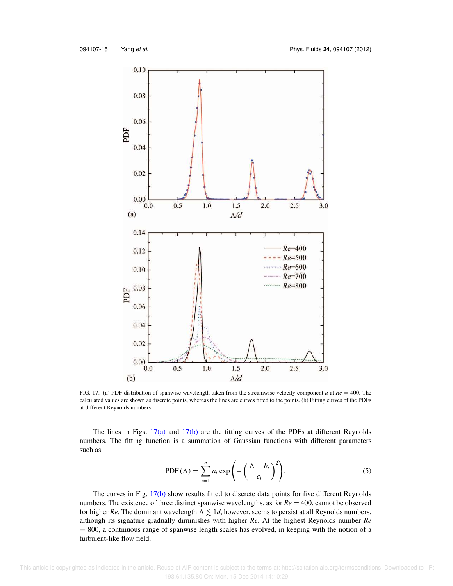

FIG. 17. (a) PDF distribution of spanwise wavelength taken from the streamwise velocity component *u* at *Re* = 400. The calculated values are shown as discrete points, whereas the lines are curves fitted to the points. (b) Fitting curves of the PDFs at different Reynolds numbers.

The lines in Figs. 17(a) and 17(b) are the fitting curves of the PDFs at different Reynolds numbers. The fitting function is a summation of Gaussian functions with different parameters such as

$$
PDF(\Lambda) = \sum_{i=1}^{n} a_i \exp\left(-\left(\frac{\Lambda - b_i}{c_i}\right)^2\right).
$$
 (5)

The curves in Fig. 17(b) show results fitted to discrete data points for five different Reynolds numbers. The existence of three distinct spanwise wavelengths, as for *Re* = 400, cannot be observed for higher *Re*. The dominant wavelength  $\Lambda \lesssim 1d$ , however, seems to persist at all Reynolds numbers, although its signature gradually diminishes with higher *Re*. At the highest Reynolds number *Re* = 800, a continuous range of spanwise length scales has evolved, in keeping with the notion of a turbulent-like flow field.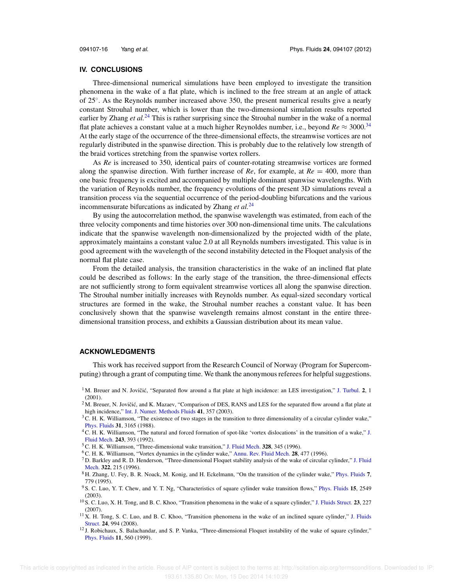#### **IV. CONCLUSIONS**

Three-dimensional numerical simulations have been employed to investigate the transition phenomena in the wake of a flat plate, which is inclined to the free stream at an angle of attack of 25◦ . As the Reynolds number increased above 350, the present numerical results give a nearly constant Strouhal number, which is lower than the two-dimensional simulation results reported earlier by Zhang *et al.*<sup>24</sup> This is rather surprising since the Strouhal number in the wake of a normal flat plate achieves a constant value at a much higher Reynoldes number, i.e., beyond  $Re \approx 3000$ .<sup>34</sup> At the early stage of the occurrence of the three-dimensional effects, the streamwise vortices are not regularly distributed in the spanwise direction. This is probably due to the relatively low strength of the braid vortices stretching from the spanwise vortex rollers.

As *Re* is increased to 350, identical pairs of counter-rotating streamwise vortices are formed along the spanwise direction. With further increase of  $Re$ , for example, at  $Re = 400$ , more than one basic frequency is excited and accompanied by multiple dominant spanwise wavelengths. With the variation of Reynolds number, the frequency evolutions of the present 3D simulations reveal a transition process via the sequential occurrence of the period-doubling bifurcations and the various incommensurate bifurcations as indicated by Zhang *et al.*<sup>24</sup>

By using the autocorrelation method, the spanwise wavelength was estimated, from each of the three velocity components and time histories over 300 non-dimensional time units. The calculations indicate that the spanwise wavelength non-dimensionalized by the projected width of the plate, approximately maintains a constant value 2.0 at all Reynolds numbers investigated. This value is in good agreement with the wavelength of the second instability detected in the Floquet analysis of the normal flat plate case.

From the detailed analysis, the transition characteristics in the wake of an inclined flat plate could be described as follows: In the early stage of the transition, the three-dimensional effects are not sufficiently strong to form equivalent streamwise vortices all along the spanwise direction. The Strouhal number initially increases with Reynolds number. As equal-sized secondary vortical structures are formed in the wake, the Strouhal number reaches a constant value. It has been conclusively shown that the spanwise wavelength remains almost constant in the entire threedimensional transition process, and exhibits a Gaussian distribution about its mean value.

#### **ACKNOWLEDGMENTS**

This work has received support from the Research Council of Norway (Program for Supercomputing) through a grant of computing time. We thank the anonymous referees for helpful suggestions.

<sup>&</sup>lt;sup>1</sup>M. Breuer and N. Jovičić, "Separated flow around a flat plate at high incidence: an LES investigation," J. Turbul. **2**, 1 (2001).

 $2$  M. Breuer, N. Jovičić, and K. Mazaev, "Comparison of DES, RANS and LES for the separated flow around a flat plate at high incidence," Int. J. Numer. Methods Fluids **41**, 357 (2003).

 $3C$ . H. K. Williamson, "The existence of two stages in the transition to three dimensionality of a circular cylinder wake," Phys. Fluids **31**, 3165 (1988).

<sup>4</sup>C. H. K. Williamson, "The natural and forced formation of spot-like 'vortex dislocations' in the transition of a wake," J. Fluid Mech. **243**, 393 (1992).

<sup>5</sup>C. H. K. Williamson, "Three-dimensional wake transition," J. Fluid Mech. **328**, 345 (1996).

<sup>6</sup>C. H. K. Williamson, "Vortex dynamics in the cylinder wake," Annu. Rev. Fluid Mech. **28**, 477 (1996).

 $<sup>7</sup>$  D. Barkley and R. D. Henderson, "Three-dimensional Floquet stability analysis of the wake of circular cylinder," J. Fluid</sup> Mech. **322**, 215 (1996).

<sup>8</sup> H. Zhang, U. Fey, B. R. Noack, M. Konig, and H. Eckelmann, "On the transition of the cylinder wake," Phys. Fluids **7**, 779 (1995).

<sup>9</sup> S. C. Luo, Y. T. Chew, and Y. T. Ng, "Characteristics of square cylinder wake transition flows," Phys. Fluids **15**, 2549 (2003).

<sup>10</sup> S. C. Luo, X. H. Tong, and B. C. Khoo, "Transition phenomena in the wake of a square cylinder," J. Fluids Struct. **23**, 227 (2007).

<sup>&</sup>lt;sup>11</sup> X. H. Tong, S. C. Luo, and B. C. Khoo, "Transition phenomena in the wake of an inclined square cylinder," J. Fluids Struct. **24**, 994 (2008).

<sup>12</sup> J. Robichaux, S. Balachandar, and S. P. Vanka, "Three-dimensional Floquet instability of the wake of square cylinder," Phys. Fluids **11**, 560 (1999).